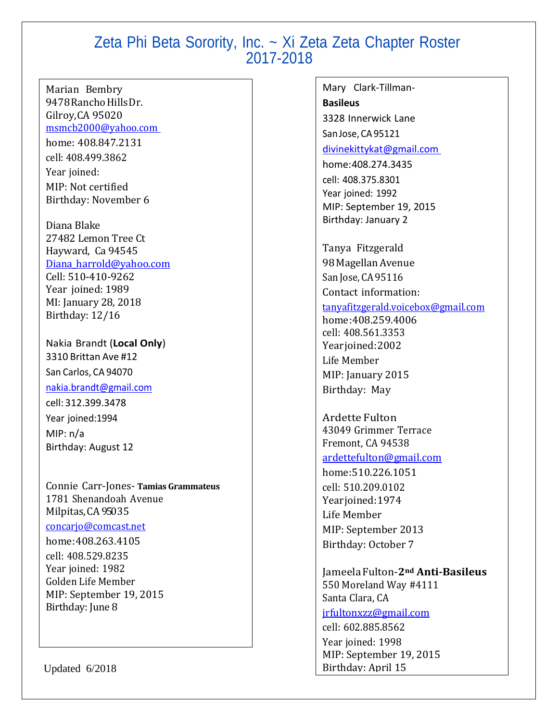Marian Bembry 9478 Rancho Hills Dr. Gilroy,CA 95020 [msmcb2000@yahoo.com](mailto:msmcb2000@yahoo.com) home: 408.847.2131 cell: 408.499.3862 Year joined: MIP: Not certified Birthday: November 6

Diana Blake 27482 Lemon Tree Ct Hayward, Ca 94545 Diana harrold@yahoo.com Cell: 510-410-9262 Year joined: 1989 MI: January 28, 2018 Birthday: 12/16

Nakia Brandt (**Local Only**) 3310 Brittan Ave #12 San Carlos, CA 94070

#### [nakia.brandt@gmail.com](mailto:nakia.brandt@gmail.com)

cell: 312.399.3478 Year joined:1994 MIP: n/a Birthday: August 12

Connie Carr-Jones- **Tamias Grammateus** 1781 Shenandoah Avenue Milpitas,CA 95035

#### [concarjo@comcast.net](mailto:concarjo@comcast.net)

home:408.263.4105 cell: 408.529.8235 Year joined: 1982 Golden Life Member MIP: September 19, 2015 Birthday: June 8

Updated 6/2018

Mary Clark-Tillman-**Basileus** 3328 Innerwick Lane San Jose, CA 95121 [divinekittykat@gmail.com](mailto:divinekittykat@gmail.com) home:408.274.3435 cell: 408.375.8301 Year joined: 1992 MIP: September 19, 2015 Birthday: January 2 Tanya Fitzgerald 98MagellanAvenue San Jose, CA 95116 Contact information: [tanyafitzgerald.voicebox@gmail.com](mailto:tanyafitzgerald.voicebox@gmail.com) home:408.259.4006 cell: 408.561.3353 Yearjoined:2002 Life Member MIP: January 2015 Birthday: May Ardette Fulton 43049 Grimmer Terrace Fremont, CA 94538 [ardettefulton@gmail.com](mailto:ardettefulton@gmail.com) home:510.226.1051 cell: 510.209.0102 Yearjoined:1974 Life Member MIP: September 2013 Birthday: October 7 JameelaFulton-**2nd Anti-Basileus**

550 Moreland Way #4111 Santa Clara, CA

### [jrfultonxzz@gmail.com](mailto:jrfultonxzz@gmail.com)

cell: 602.885.8562 Year joined: 1998 MIP: September 19, 2015 Birthday: April 15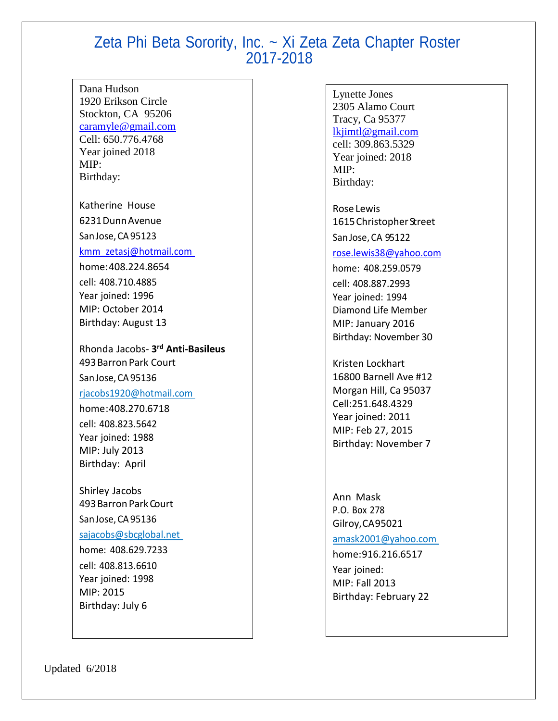Dana Hudson 1920 Erikson Circle Stockton, CA 95206 [caramyle@gmail.com](mailto:caramyle@gmail.com) Cell: 650.776.4768 Year joined 2018 MIP: Birthday:

Katherine House 6231DunnAvenue San Jose, CA 95123

[kmm\\_zetasj@hotmail.com](mailto:kmm_zetasj@hotmail.com)

home: 408.224.8654 cell: 408.710.4885 Year joined: 1996 MIP: October 2014 Birthday: August 13

Rhonda Jacobs- **3 rd Anti-Basileus** 493BarronPark Court San Jose, CA95136 [rjacobs1920@hotmail.com](mailto:rjacobs1920@hotmail.com) home:408.270.6718 cell: 408.823.5642 Year joined: 1988 MIP: July 2013 Birthday: April

Shirley Jacobs 493 Barron Park Court San Jose, CA 95136 [sajacobs@sbcglobal.net](mailto:sajacobs@sbcglobal.net) home: 408.629.7233 cell: 408.813.6610 Year joined: 1998

MIP: 2015 Birthday: July 6

Lynette Jones 2305 Alamo Court Tracy, Ca 95377 [lkjimtl@gmail.com](mailto:lkjimtl@gmail.com) cell: 309.863.5329 Year joined: 2018 MIP: Birthday:

Rose Lewis 1615 Christopher Street SanJose, CA 95122

[rose.lewis38@yahoo.com](mailto:rose.lewis38@yahoo.com)

home: 408.259.0579 cell: 408.887.2993 Year joined: 1994 Diamond Life Member MIP: January 2016 Birthday: November 30

Kristen Lockhart 16800 Barnell Ave #12 Morgan Hill, Ca 95037 Cell:251.648.4329 Year joined: 2011 MIP: Feb 27, 2015 Birthday: November 7

Ann Mask P.O. Box 278 Gilroy,CA95021 [amask2001@yahoo.com](mailto:amask2001@yahoo.com) home:916.216.6517

Year joined: MIP: Fall 2013 Birthday: February 22

Updated 6/2018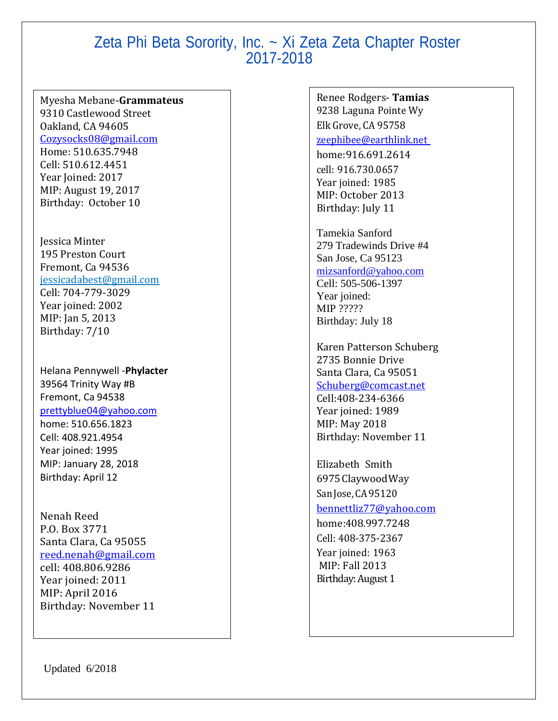#### Myesha Mebane-**Grammateus**

9310 Castlewood Street Oakland, CA 94605 [Cozysocks08@gmail.com](mailto:Cozysocks08@gmail.com) Home: 510.635.7948 Cell: 510.612.4451 Year Joined: 2017 MIP: August 19, 2017 Birthday: October 10

Jessica Minter 195 Preston Court Fremont, Ca 94536 jessicadabest@gmail.com Cell: 704-779-3029 Year joined: 2002 MIP: Jan 5, 2013 Birthday: 7/10

Helana Pennywell -**Phylacter** 39564 Trinity Way #B Fremont, Ca 94538 [prettyblue04@yahoo.com](mailto:prettyblue04@yahoo.com) home: 510.656.1823 Cell: 408.921.4954 Year joined: 1995 MIP: January 28, 2018 Birthday: April 12

Nenah Reed P.O. Box 3771 Santa Clara, Ca 95055 [reed.nenah@gmail.com](mailto:reed.nenah@gmail.com) cell: 408.806.9286 Year joined: 2011 MIP: April 2016 Birthday: November 11

Updated 6/2018

Renee Rodgers- **Tamias** 9238 Laguna Pointe Wy Elk Grove, CA 95758 [zeephibee@earthlink.net](mailto:zeephibee@gmail.com)

home:916.691.2614 cell: 916.730.0657 Year joined: 1985 MIP: October 2013 Birthday: July 11

Tamekia Sanford 279 Tradewinds Drive #4 San Jose, Ca 95123 [mizsanford@yahoo.com](mailto:mizsanford@yahoo.com) Cell: 505-506-1397

Year joined: MIP ????? Birthday: July 18

Karen Patterson Schuberg 2735 Bonnie Drive Santa Clara, Ca 95051 [Schuberg@comcast.net](mailto:Schuberg@comcast.net) Cell:408-234-6366 Year joined: 1989 MIP: May 2018 Birthday: November 11

Elizabeth Smith 6975ClaywoodWay San Jose, CA 95120 [bennettliz77@yahoo.com](mailto:bennettliz77@yahoo.com)

home: 408.997.7248 Cell: 408-375-2367 Year joined: 1963 MIP: Fall 2013 Birthday: August 1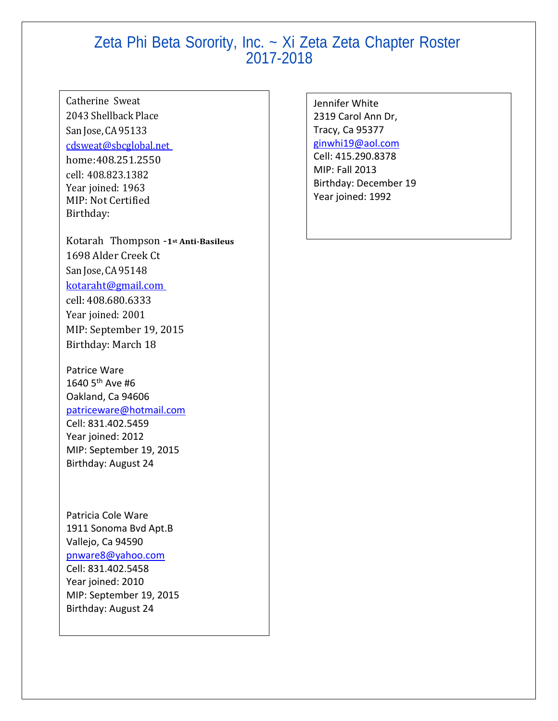### Catherine Sweat 2043 Shellback Place San Jose, CA 95133 [cdsweat@sbcglobal.net](mailto:cdsweat@sbcglobal.net)

home:408.251.2550 cell: 408.823.1382 Year joined: 1963 MIP: Not Certified Birthday:

Kotarah Thompson -**1st Anti-Basileus** 1698 Alder Creek Ct San Jose, CA 95148 [kotaraht@gmail.com](mailto:kotaraht@gmail.com) cell: 408.680.6333 Year joined: 2001 MIP: September 19, 2015 Birthday: March 18

Patrice Ware 1640 5th Ave #6 Oakland, Ca 94606 [patriceware@hotmail.com](mailto:patriceware@hotmail.com) Cell: 831.402.5459 Year joined: 2012 MIP: September 19, 2015 Birthday: August 24

Patricia Cole Ware 1911 Sonoma Bvd Apt.B Vallejo, Ca 94590 [pnware8@yahoo.com](mailto:pnware8@yahoo.com) Cell: 831.402.5458 Year joined: 2010 MIP: September 19, 2015 Birthday: August 24

Jennifer White 2319 Carol Ann Dr, Tracy, Ca 95377 [ginwhi19@aol.com](file://PROB-USERDATA/user%20data/RodgersR/zeta%20stuff/ginwhi19@aol.com) Cell: 415.290.8378 MIP: Fall 2013 Birthday: December 19 Year joined: 1992